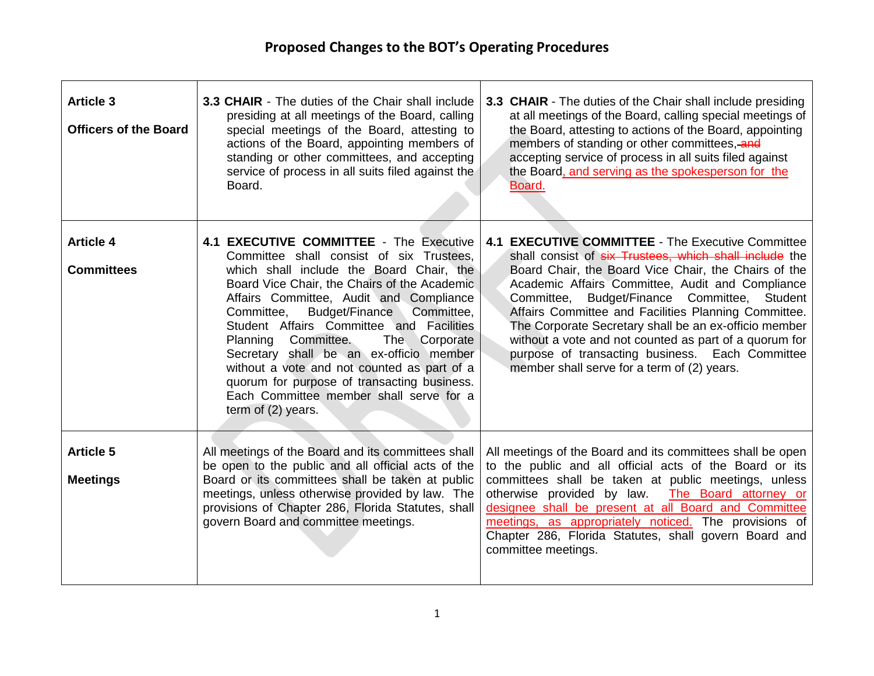| <b>Article 3</b><br><b>Officers of the Board</b> | <b>3.3 CHAIR</b> - The duties of the Chair shall include<br>presiding at all meetings of the Board, calling<br>special meetings of the Board, attesting to<br>actions of the Board, appointing members of<br>standing or other committees, and accepting<br>service of process in all suits filed against the<br>Board.                                                                                                                                                                                                                                                  | 3.3 CHAIR - The duties of the Chair shall include presiding<br>at all meetings of the Board, calling special meetings of<br>the Board, attesting to actions of the Board, appointing<br>members of standing or other committees, and<br>accepting service of process in all suits filed against<br>the Board, and serving as the spokesperson for the<br>Board.                                                                                                                                                                                         |
|--------------------------------------------------|--------------------------------------------------------------------------------------------------------------------------------------------------------------------------------------------------------------------------------------------------------------------------------------------------------------------------------------------------------------------------------------------------------------------------------------------------------------------------------------------------------------------------------------------------------------------------|---------------------------------------------------------------------------------------------------------------------------------------------------------------------------------------------------------------------------------------------------------------------------------------------------------------------------------------------------------------------------------------------------------------------------------------------------------------------------------------------------------------------------------------------------------|
| <b>Article 4</b><br><b>Committees</b>            | 4.1 EXECUTIVE COMMITTEE - The Executive<br>Committee shall consist of six Trustees,<br>which shall include the Board Chair, the<br>Board Vice Chair, the Chairs of the Academic<br>Affairs Committee, Audit and Compliance<br>Committee,<br>Budget/Finance<br>Committee,<br>Student Affairs Committee and Facilities<br>Planning Committee.<br>The Corporate<br>Secretary shall be an ex-officio member<br>without a vote and not counted as part of a<br>quorum for purpose of transacting business.<br>Each Committee member shall serve for a<br>term of $(2)$ years. | 4.1 EXECUTIVE COMMITTEE - The Executive Committee<br>shall consist of six Trustees, which shall include the<br>Board Chair, the Board Vice Chair, the Chairs of the<br>Academic Affairs Committee, Audit and Compliance<br>Committee, Budget/Finance Committee,<br>Student<br>Affairs Committee and Facilities Planning Committee.<br>The Corporate Secretary shall be an ex-officio member<br>without a vote and not counted as part of a quorum for<br>purpose of transacting business. Each Committee<br>member shall serve for a term of (2) years. |
| <b>Article 5</b><br><b>Meetings</b>              | All meetings of the Board and its committees shall<br>be open to the public and all official acts of the<br>Board or its committees shall be taken at public<br>meetings, unless otherwise provided by law. The<br>provisions of Chapter 286, Florida Statutes, shall<br>govern Board and committee meetings.                                                                                                                                                                                                                                                            | All meetings of the Board and its committees shall be open<br>to the public and all official acts of the Board or its<br>committees shall be taken at public meetings, unless<br>otherwise provided by law. The Board attorney or<br>designee shall be present at all Board and Committee<br>meetings, as appropriately noticed. The provisions of<br>Chapter 286, Florida Statutes, shall govern Board and<br>committee meetings.                                                                                                                      |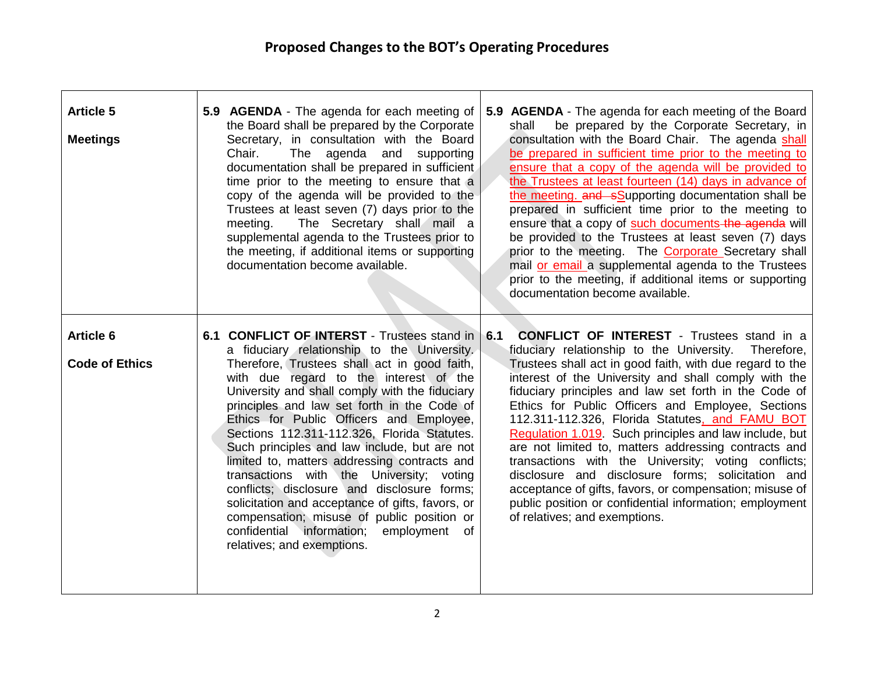| <b>Article 5</b><br><b>Meetings</b>       | 5.9 AGENDA - The agenda for each meeting of<br>5.9 AGENDA - The agenda for each meeting of the Board<br>the Board shall be prepared by the Corporate<br>be prepared by the Corporate Secretary, in<br>shall<br>consultation with the Board Chair. The agenda shall<br>Secretary, in consultation with the Board<br>Chair.<br>The agenda and<br>be prepared in sufficient time prior to the meeting to<br>supporting<br>documentation shall be prepared in sufficient<br>ensure that a copy of the agenda will be provided to<br>time prior to the meeting to ensure that a<br>the Trustees at least fourteen (14) days in advance of<br>copy of the agenda will be provided to the<br>the meeting. and sSupporting documentation shall be<br>Trustees at least seven (7) days prior to the<br>prepared in sufficient time prior to the meeting to<br>The Secretary shall mail a<br>ensure that a copy of such documents the agenda will<br>meeting.<br>supplemental agenda to the Trustees prior to<br>be provided to the Trustees at least seven (7) days<br>the meeting, if additional items or supporting<br>prior to the meeting. The <b>Corporate</b> Secretary shall<br>mail or email a supplemental agenda to the Trustees<br>documentation become available.<br>prior to the meeting, if additional items or supporting<br>documentation become available.                                                                                                                                                                                      |
|-------------------------------------------|---------------------------------------------------------------------------------------------------------------------------------------------------------------------------------------------------------------------------------------------------------------------------------------------------------------------------------------------------------------------------------------------------------------------------------------------------------------------------------------------------------------------------------------------------------------------------------------------------------------------------------------------------------------------------------------------------------------------------------------------------------------------------------------------------------------------------------------------------------------------------------------------------------------------------------------------------------------------------------------------------------------------------------------------------------------------------------------------------------------------------------------------------------------------------------------------------------------------------------------------------------------------------------------------------------------------------------------------------------------------------------------------------------------------------------------------------------------------------------------------------------------------------------------------------------|
| <b>Article 6</b><br><b>Code of Ethics</b> | 6.1 CONFLICT OF INTERST - Trustees stand in<br><b>CONFLICT OF INTEREST</b> - Trustees stand in a<br>6.1<br>a fiduciary relationship to the University.<br>fiduciary relationship to the University.<br>Therefore,<br>Therefore, Trustees shall act in good faith,<br>Trustees shall act in good faith, with due regard to the<br>with due regard to the interest of the<br>interest of the University and shall comply with the<br>University and shall comply with the fiduciary<br>fiduciary principles and law set forth in the Code of<br>principles and law set forth in the Code of<br>Ethics for Public Officers and Employee, Sections<br>112.311-112.326, Florida Statutes, and FAMU BOT<br>Ethics for Public Officers and Employee,<br>Sections 112.311-112.326, Florida Statutes.<br>Regulation 1.019. Such principles and law include, but<br>Such principles and law include, but are not<br>are not limited to, matters addressing contracts and<br>transactions with the University; voting conflicts;<br>limited to, matters addressing contracts and<br>disclosure and disclosure forms; solicitation and<br>transactions with the University; voting<br>conflicts; disclosure and disclosure forms;<br>acceptance of gifts, favors, or compensation; misuse of<br>public position or confidential information; employment<br>solicitation and acceptance of gifts, favors, or<br>compensation; misuse of public position or<br>of relatives; and exemptions.<br>confidential information; employment of<br>relatives; and exemptions. |